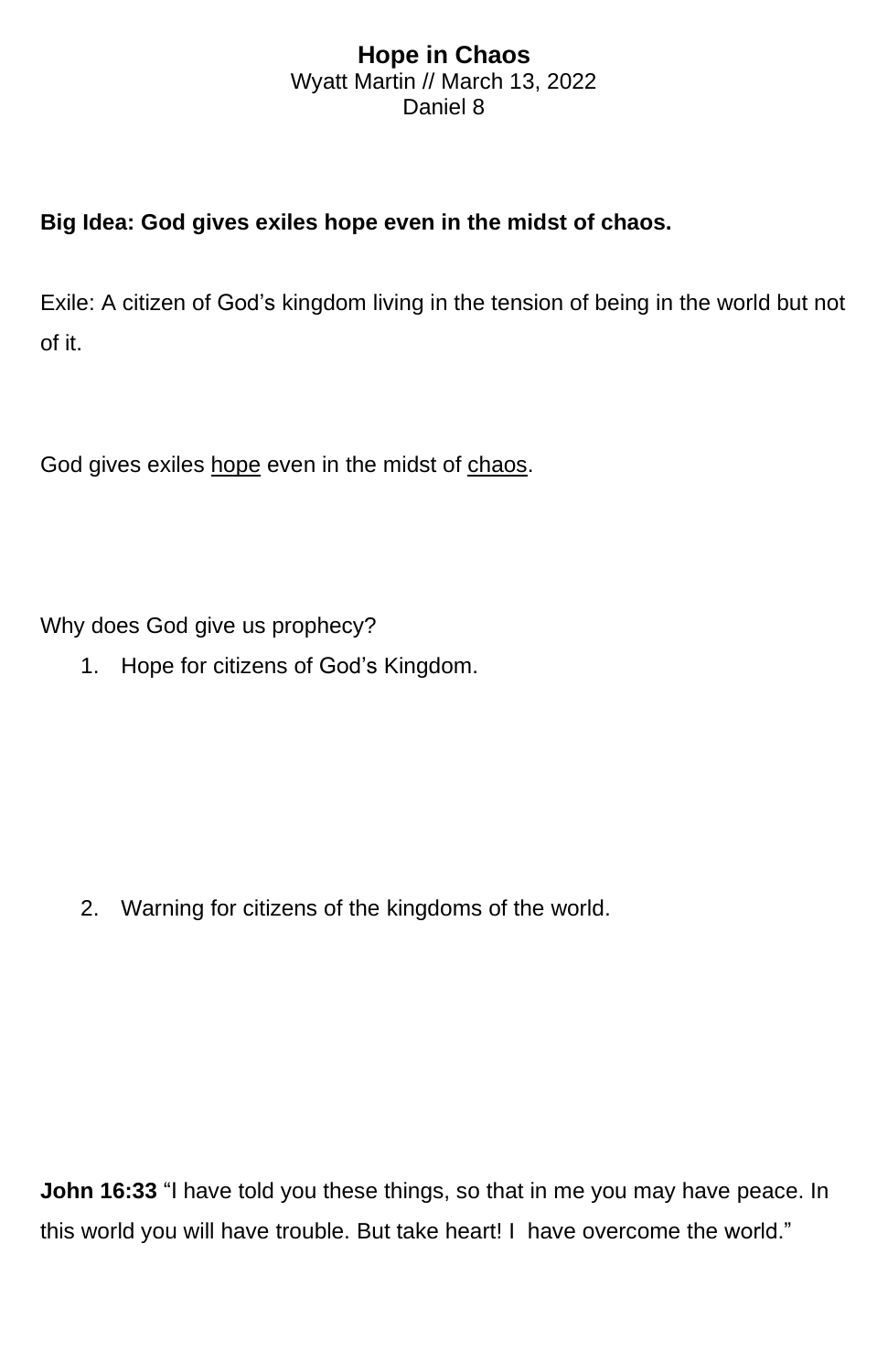## **Hope in Chaos** Wyatt Martin // March 13, 2022 Daniel 8

## **Big Idea: God gives exiles hope even in the midst of chaos.**

Exile: A citizen of God's kingdom living in the tension of being in the world but not of it.

God gives exiles hope even in the midst of chaos.

Why does God give us prophecy?

1. Hope for citizens of God's Kingdom.

2. Warning for citizens of the kingdoms of the world.

**John 16:33** "I have told you these things, so that in me you may have peace. In this world you will have trouble. But take heart! I have overcome the world."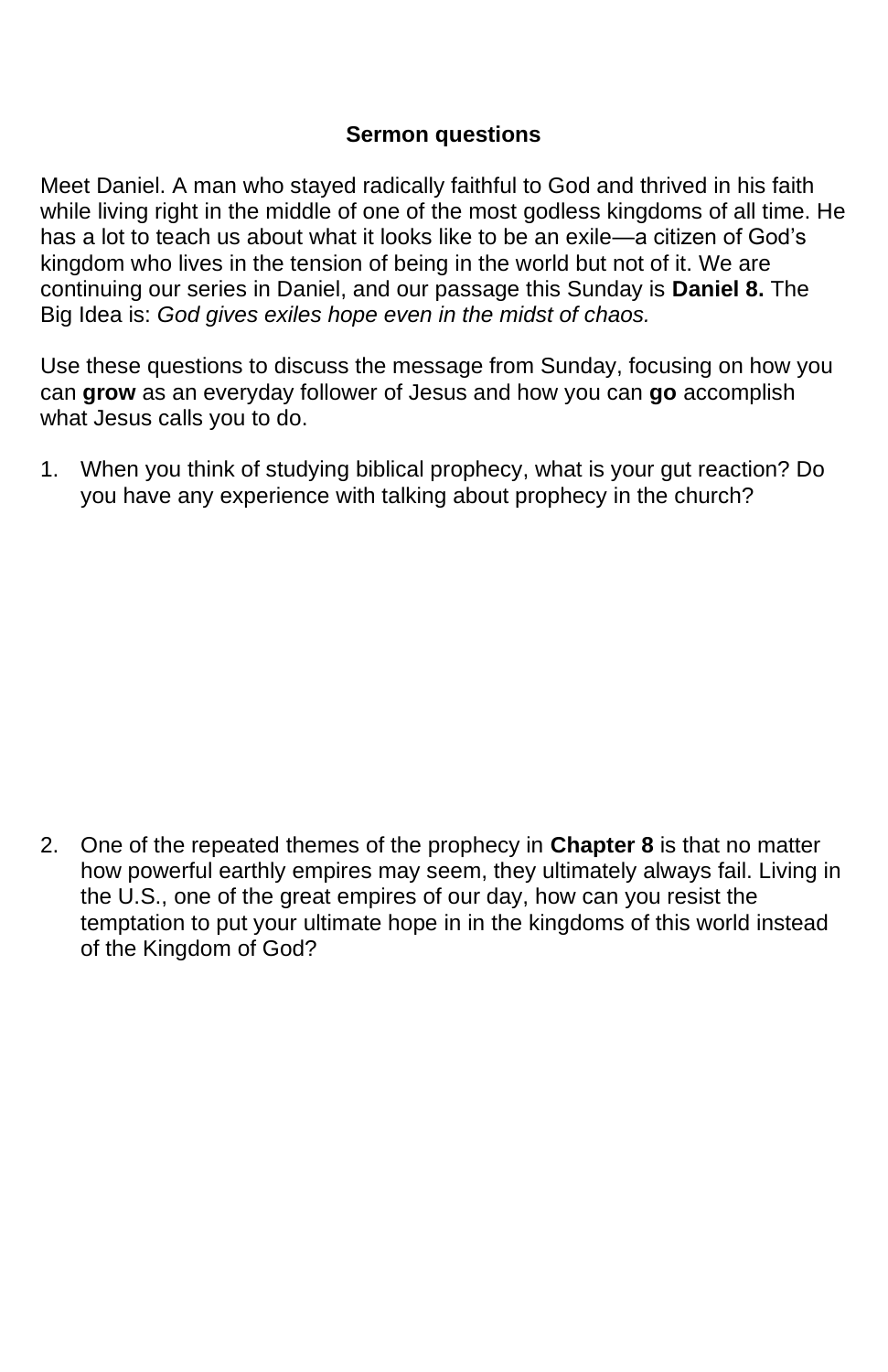## **Sermon questions**

Meet Daniel. A man who stayed radically faithful to God and thrived in his faith while living right in the middle of one of the most godless kingdoms of all time. He has a lot to teach us about what it looks like to be an exile—a citizen of God's kingdom who lives in the tension of being in the world but not of it. We are continuing our series in Daniel, and our passage this Sunday is **Daniel 8.** The Big Idea is: *God gives exiles hope even in the midst of chaos.*

Use these questions to discuss the message from Sunday, focusing on how you can **grow** as an everyday follower of Jesus and how you can **go** accomplish what Jesus calls you to do.

1. When you think of studying biblical prophecy, what is your gut reaction? Do you have any experience with talking about prophecy in the church?

2. One of the repeated themes of the prophecy in **Chapter 8** is that no matter how powerful earthly empires may seem, they ultimately always fail. Living in the U.S., one of the great empires of our day, how can you resist the temptation to put your ultimate hope in in the kingdoms of this world instead of the Kingdom of God?